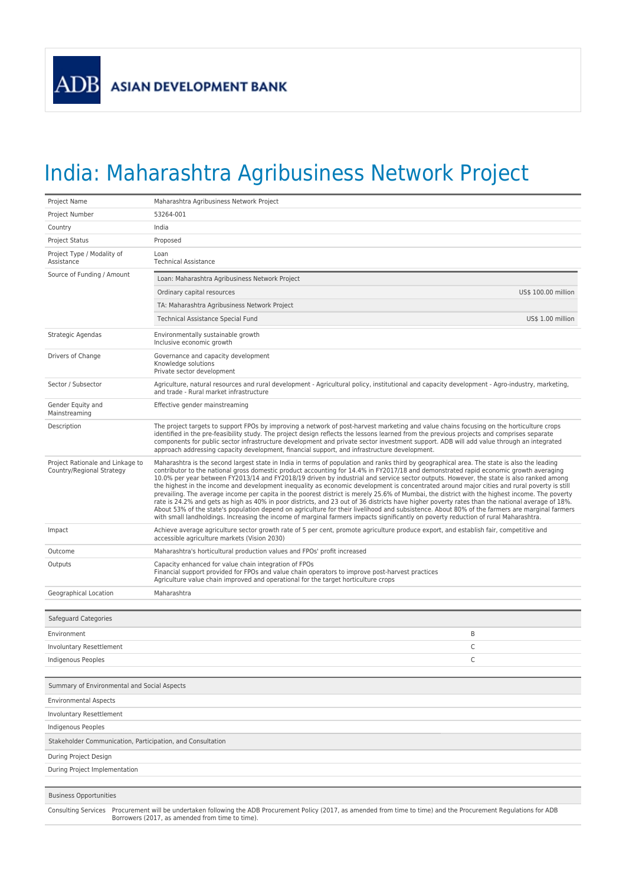## India: Maharashtra Agribusiness Network Project

| Project Name                                                                                                                                                                                                           | Maharashtra Agribusiness Network Project                                                                                                                                                                                                                                                                                                                                                                                                                                                                                                                                                                                                                                                                                                                                                                                                                                                                                                                                                                                                                                                                                                                                    |  |
|------------------------------------------------------------------------------------------------------------------------------------------------------------------------------------------------------------------------|-----------------------------------------------------------------------------------------------------------------------------------------------------------------------------------------------------------------------------------------------------------------------------------------------------------------------------------------------------------------------------------------------------------------------------------------------------------------------------------------------------------------------------------------------------------------------------------------------------------------------------------------------------------------------------------------------------------------------------------------------------------------------------------------------------------------------------------------------------------------------------------------------------------------------------------------------------------------------------------------------------------------------------------------------------------------------------------------------------------------------------------------------------------------------------|--|
| Project Number                                                                                                                                                                                                         | 53264-001                                                                                                                                                                                                                                                                                                                                                                                                                                                                                                                                                                                                                                                                                                                                                                                                                                                                                                                                                                                                                                                                                                                                                                   |  |
| Country                                                                                                                                                                                                                | India                                                                                                                                                                                                                                                                                                                                                                                                                                                                                                                                                                                                                                                                                                                                                                                                                                                                                                                                                                                                                                                                                                                                                                       |  |
| <b>Project Status</b>                                                                                                                                                                                                  | Proposed                                                                                                                                                                                                                                                                                                                                                                                                                                                                                                                                                                                                                                                                                                                                                                                                                                                                                                                                                                                                                                                                                                                                                                    |  |
| Project Type / Modality of<br>Assistance                                                                                                                                                                               | Loan<br><b>Technical Assistance</b>                                                                                                                                                                                                                                                                                                                                                                                                                                                                                                                                                                                                                                                                                                                                                                                                                                                                                                                                                                                                                                                                                                                                         |  |
| Source of Funding / Amount                                                                                                                                                                                             | Loan: Maharashtra Agribusiness Network Project                                                                                                                                                                                                                                                                                                                                                                                                                                                                                                                                                                                                                                                                                                                                                                                                                                                                                                                                                                                                                                                                                                                              |  |
|                                                                                                                                                                                                                        | US\$ 100.00 million<br>Ordinary capital resources                                                                                                                                                                                                                                                                                                                                                                                                                                                                                                                                                                                                                                                                                                                                                                                                                                                                                                                                                                                                                                                                                                                           |  |
|                                                                                                                                                                                                                        | TA: Maharashtra Agribusiness Network Project                                                                                                                                                                                                                                                                                                                                                                                                                                                                                                                                                                                                                                                                                                                                                                                                                                                                                                                                                                                                                                                                                                                                |  |
|                                                                                                                                                                                                                        | US\$ 1.00 million<br><b>Technical Assistance Special Fund</b>                                                                                                                                                                                                                                                                                                                                                                                                                                                                                                                                                                                                                                                                                                                                                                                                                                                                                                                                                                                                                                                                                                               |  |
| Strategic Agendas                                                                                                                                                                                                      | Environmentally sustainable growth<br>Inclusive economic growth                                                                                                                                                                                                                                                                                                                                                                                                                                                                                                                                                                                                                                                                                                                                                                                                                                                                                                                                                                                                                                                                                                             |  |
| Drivers of Change                                                                                                                                                                                                      | Governance and capacity development<br>Knowledge solutions<br>Private sector development                                                                                                                                                                                                                                                                                                                                                                                                                                                                                                                                                                                                                                                                                                                                                                                                                                                                                                                                                                                                                                                                                    |  |
| Sector / Subsector                                                                                                                                                                                                     | Agriculture, natural resources and rural development - Agricultural policy, institutional and capacity development - Agro-industry, marketing,<br>and trade - Rural market infrastructure                                                                                                                                                                                                                                                                                                                                                                                                                                                                                                                                                                                                                                                                                                                                                                                                                                                                                                                                                                                   |  |
| Gender Equity and<br>Mainstreaming                                                                                                                                                                                     | Effective gender mainstreaming                                                                                                                                                                                                                                                                                                                                                                                                                                                                                                                                                                                                                                                                                                                                                                                                                                                                                                                                                                                                                                                                                                                                              |  |
| Description                                                                                                                                                                                                            | The project targets to support FPOs by improving a network of post-harvest marketing and value chains focusing on the horticulture crops<br>identified in the pre-feasibility study. The project design reflects the lessons learned from the previous projects and comprises separate<br>components for public sector infrastructure development and private sector investment support. ADB will add value through an integrated<br>approach addressing capacity development, financial support, and infrastructure development.                                                                                                                                                                                                                                                                                                                                                                                                                                                                                                                                                                                                                                           |  |
| Project Rationale and Linkage to<br>Country/Regional Strategy                                                                                                                                                          | Maharashtra is the second largest state in India in terms of population and ranks third by geographical area. The state is also the leading<br>contributor to the national gross domestic product accounting for 14.4% in FY2017/18 and demonstrated rapid economic growth averaging<br>10.0% per year between FY2013/14 and FY2018/19 driven by industrial and service sector outputs. However, the state is also ranked among<br>the highest in the income and development inequality as economic development is concentrated around major cities and rural poverty is still<br>prevailing. The average income per capita in the poorest district is merely 25.6% of Mumbai, the district with the highest income. The poverty<br>rate is 24.2% and gets as high as 40% in poor districts, and 23 out of 36 districts have higher poverty rates than the national average of 18%.<br>About 53% of the state's population depend on agriculture for their livelihood and subsistence. About 80% of the farmers are marginal farmers<br>with small landholdings. Increasing the income of marginal farmers impacts significantly on poverty reduction of rural Maharashtra. |  |
| Impact                                                                                                                                                                                                                 | Achieve average agriculture sector growth rate of 5 per cent, promote agriculture produce export, and establish fair, competitive and<br>accessible agriculture markets (Vision 2030)                                                                                                                                                                                                                                                                                                                                                                                                                                                                                                                                                                                                                                                                                                                                                                                                                                                                                                                                                                                       |  |
| Outcome                                                                                                                                                                                                                | Maharashtra's horticultural production values and FPOs' profit increased                                                                                                                                                                                                                                                                                                                                                                                                                                                                                                                                                                                                                                                                                                                                                                                                                                                                                                                                                                                                                                                                                                    |  |
| Outputs                                                                                                                                                                                                                | Capacity enhanced for value chain integration of FPOs<br>Financial support provided for FPOs and value chain operators to improve post-harvest practices<br>Agriculture value chain improved and operational for the target horticulture crops                                                                                                                                                                                                                                                                                                                                                                                                                                                                                                                                                                                                                                                                                                                                                                                                                                                                                                                              |  |
| Geographical Location                                                                                                                                                                                                  | Maharashtra                                                                                                                                                                                                                                                                                                                                                                                                                                                                                                                                                                                                                                                                                                                                                                                                                                                                                                                                                                                                                                                                                                                                                                 |  |
| Safeguard Categories                                                                                                                                                                                                   |                                                                                                                                                                                                                                                                                                                                                                                                                                                                                                                                                                                                                                                                                                                                                                                                                                                                                                                                                                                                                                                                                                                                                                             |  |
| Environment                                                                                                                                                                                                            | B                                                                                                                                                                                                                                                                                                                                                                                                                                                                                                                                                                                                                                                                                                                                                                                                                                                                                                                                                                                                                                                                                                                                                                           |  |
| Involuntary Resettlement                                                                                                                                                                                               | C                                                                                                                                                                                                                                                                                                                                                                                                                                                                                                                                                                                                                                                                                                                                                                                                                                                                                                                                                                                                                                                                                                                                                                           |  |
| Indigenous Peoples                                                                                                                                                                                                     | Ċ                                                                                                                                                                                                                                                                                                                                                                                                                                                                                                                                                                                                                                                                                                                                                                                                                                                                                                                                                                                                                                                                                                                                                                           |  |
| Summary of Environmental and Social Aspects                                                                                                                                                                            |                                                                                                                                                                                                                                                                                                                                                                                                                                                                                                                                                                                                                                                                                                                                                                                                                                                                                                                                                                                                                                                                                                                                                                             |  |
| <b>Environmental Aspects</b>                                                                                                                                                                                           |                                                                                                                                                                                                                                                                                                                                                                                                                                                                                                                                                                                                                                                                                                                                                                                                                                                                                                                                                                                                                                                                                                                                                                             |  |
| Involuntary Resettlement                                                                                                                                                                                               |                                                                                                                                                                                                                                                                                                                                                                                                                                                                                                                                                                                                                                                                                                                                                                                                                                                                                                                                                                                                                                                                                                                                                                             |  |
| Indigenous Peoples                                                                                                                                                                                                     |                                                                                                                                                                                                                                                                                                                                                                                                                                                                                                                                                                                                                                                                                                                                                                                                                                                                                                                                                                                                                                                                                                                                                                             |  |
| Stakeholder Communication, Participation, and Consultation                                                                                                                                                             |                                                                                                                                                                                                                                                                                                                                                                                                                                                                                                                                                                                                                                                                                                                                                                                                                                                                                                                                                                                                                                                                                                                                                                             |  |
| During Project Design                                                                                                                                                                                                  |                                                                                                                                                                                                                                                                                                                                                                                                                                                                                                                                                                                                                                                                                                                                                                                                                                                                                                                                                                                                                                                                                                                                                                             |  |
| During Project Implementation                                                                                                                                                                                          |                                                                                                                                                                                                                                                                                                                                                                                                                                                                                                                                                                                                                                                                                                                                                                                                                                                                                                                                                                                                                                                                                                                                                                             |  |
| <b>Business Opportunities</b>                                                                                                                                                                                          |                                                                                                                                                                                                                                                                                                                                                                                                                                                                                                                                                                                                                                                                                                                                                                                                                                                                                                                                                                                                                                                                                                                                                                             |  |
|                                                                                                                                                                                                                        |                                                                                                                                                                                                                                                                                                                                                                                                                                                                                                                                                                                                                                                                                                                                                                                                                                                                                                                                                                                                                                                                                                                                                                             |  |
| Consulting Services Procurement will be undertaken following the ADB Procurement Policy (2017, as amended from time to time) and the Procurement Regulations for ADB<br>Borrowers (2017, as amended from time to time) |                                                                                                                                                                                                                                                                                                                                                                                                                                                                                                                                                                                                                                                                                                                                                                                                                                                                                                                                                                                                                                                                                                                                                                             |  |